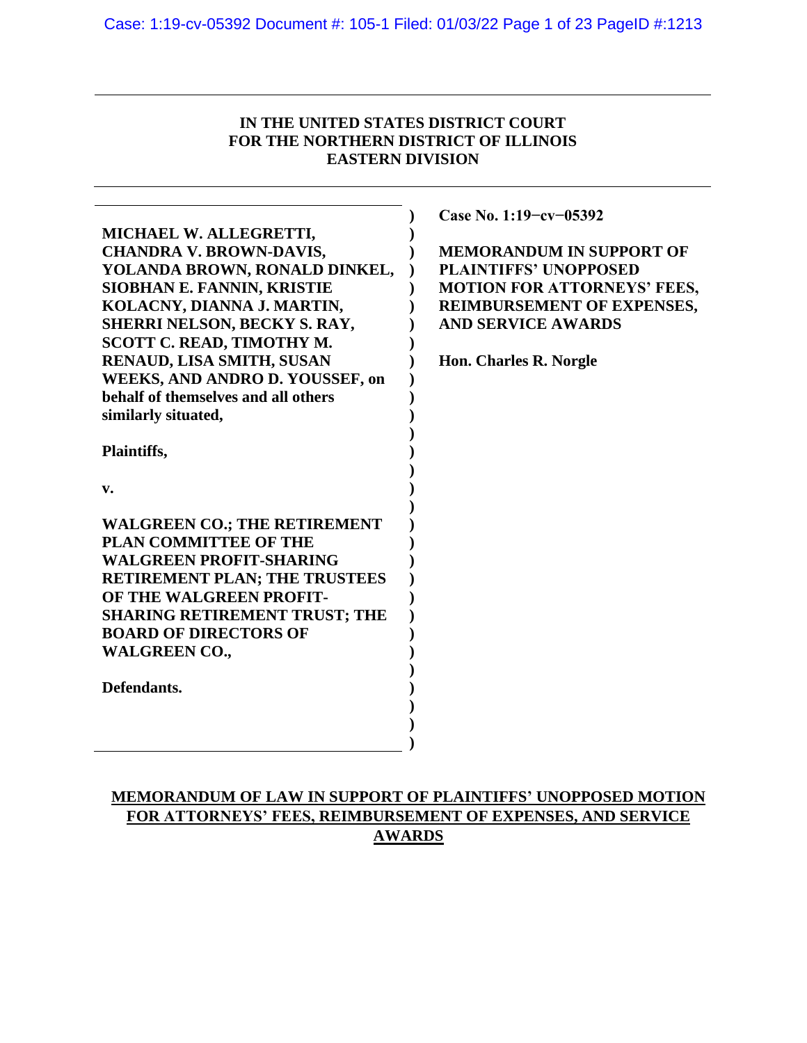# **IN THE UNITED STATES DISTRICT COURT FOR THE NORTHERN DISTRICT OF ILLINOIS EASTERN DIVISION**

| MICHAEL W. ALLEGRETTI,<br><b>CHANDRA V. BROWN-DAVIS,</b><br>YOLANDA BROWN, RONALD DINKEL,<br>SIOBHAN E. FANNIN, KRISTIE<br>KOLACNY, DIANNA J. MARTIN,<br>SHERRI NELSON, BECKY S. RAY,<br>SCOTT C. READ, TIMOTHY M.<br>RENAUD, LISA SMITH, SUSAN | Case No. 1:19-cv-05392<br><b>MEMORANDUM IN SUPPORT OF</b><br><b>PLAINTIFFS' UNOPPOSED</b><br><b>MOTION FOR ATTORNEYS' FEES,</b><br>REIMBURSEMENT OF EXPENSES,<br><b>AND SERVICE AWARDS</b><br>Hon. Charles R. Norgle |
|-------------------------------------------------------------------------------------------------------------------------------------------------------------------------------------------------------------------------------------------------|----------------------------------------------------------------------------------------------------------------------------------------------------------------------------------------------------------------------|
| WEEKS, AND ANDRO D. YOUSSEF, on<br>behalf of themselves and all others                                                                                                                                                                          |                                                                                                                                                                                                                      |
| similarly situated,                                                                                                                                                                                                                             |                                                                                                                                                                                                                      |
| Plaintiffs,                                                                                                                                                                                                                                     |                                                                                                                                                                                                                      |
| v.                                                                                                                                                                                                                                              |                                                                                                                                                                                                                      |
| <b>WALGREEN CO.; THE RETIREMENT</b><br><b>PLAN COMMITTEE OF THE</b>                                                                                                                                                                             |                                                                                                                                                                                                                      |
| <b>WALGREEN PROFIT-SHARING</b>                                                                                                                                                                                                                  |                                                                                                                                                                                                                      |
| <b>RETIREMENT PLAN; THE TRUSTEES</b><br>OF THE WALGREEN PROFIT-                                                                                                                                                                                 |                                                                                                                                                                                                                      |
| <b>SHARING RETIREMENT TRUST; THE</b>                                                                                                                                                                                                            |                                                                                                                                                                                                                      |
| <b>BOARD OF DIRECTORS OF</b><br><b>WALGREEN CO.,</b>                                                                                                                                                                                            |                                                                                                                                                                                                                      |
| Defendants.                                                                                                                                                                                                                                     |                                                                                                                                                                                                                      |
|                                                                                                                                                                                                                                                 |                                                                                                                                                                                                                      |
|                                                                                                                                                                                                                                                 |                                                                                                                                                                                                                      |

# **MEMORANDUM OF LAW IN SUPPORT OF PLAINTIFFS' UNOPPOSED MOTION FOR ATTORNEYS' FEES, REIMBURSEMENT OF EXPENSES, AND SERVICE AWARDS**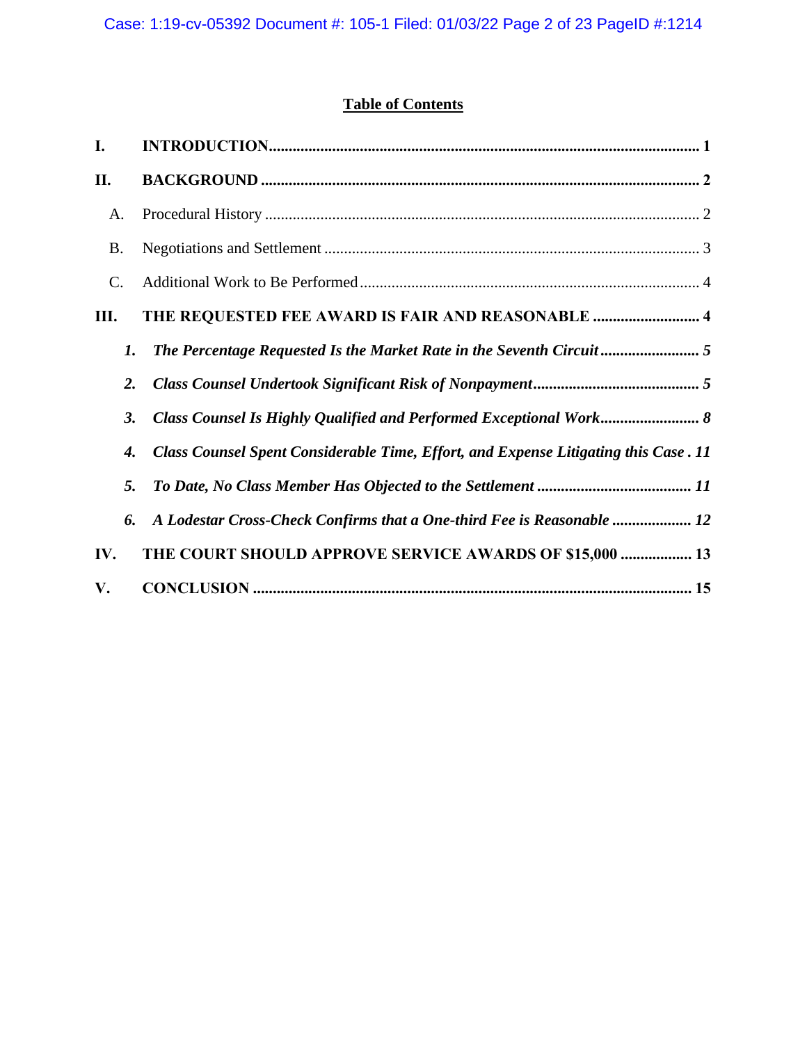# **Table of Contents**

| I.              |           |                                                                                     |
|-----------------|-----------|-------------------------------------------------------------------------------------|
| П.              |           |                                                                                     |
| A.              |           |                                                                                     |
| <b>B.</b>       |           |                                                                                     |
| $\mathcal{C}$ . |           |                                                                                     |
| Ш.              |           | THE REQUESTED FEE AWARD IS FAIR AND REASONABLE  4                                   |
|                 | 1.        |                                                                                     |
|                 | 2.        |                                                                                     |
|                 | <b>3.</b> |                                                                                     |
|                 | 4.        | Class Counsel Spent Considerable Time, Effort, and Expense Litigating this Case. 11 |
|                 | 5.        |                                                                                     |
|                 | 6.        | A Lodestar Cross-Check Confirms that a One-third Fee is Reasonable  12              |
| IV.             |           | THE COURT SHOULD APPROVE SERVICE AWARDS OF \$15,000  13                             |
| V.              |           |                                                                                     |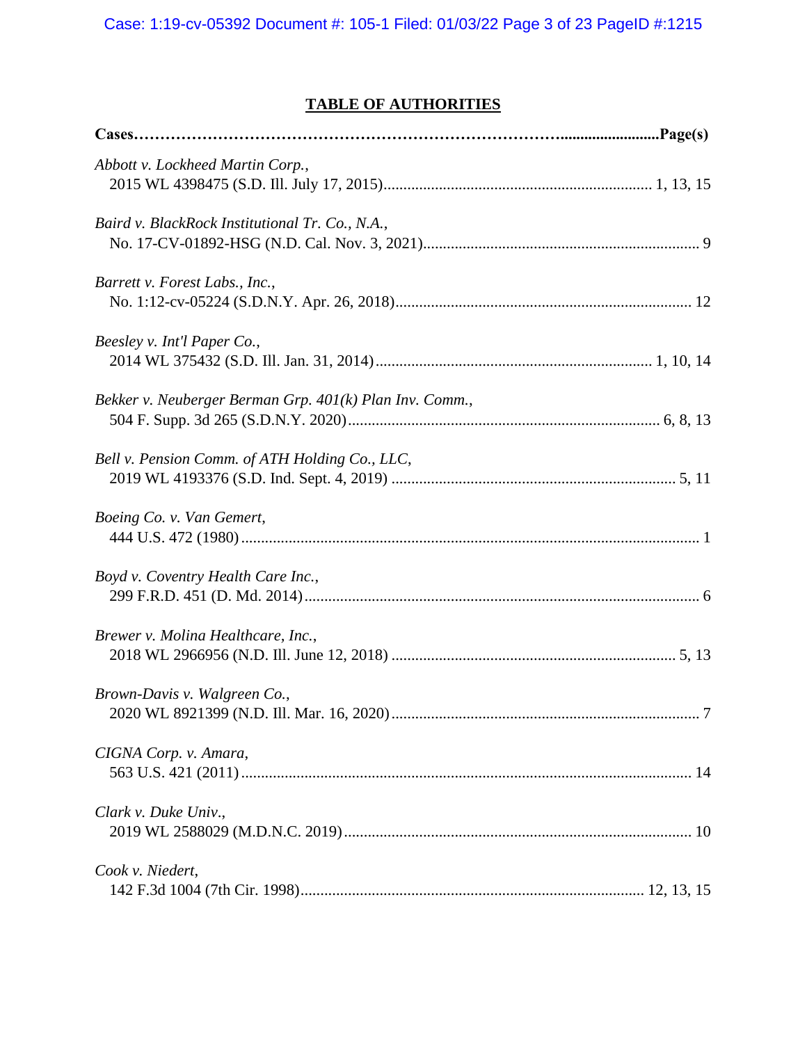# **TABLE OF AUTHORITIES**

| Abbott v. Lockheed Martin Corp.,                        |
|---------------------------------------------------------|
| Baird v. BlackRock Institutional Tr. Co., N.A.,         |
| Barrett v. Forest Labs., Inc.,                          |
| Beesley v. Int'l Paper Co.,                             |
| Bekker v. Neuberger Berman Grp. 401(k) Plan Inv. Comm., |
| Bell v. Pension Comm. of ATH Holding Co., LLC,          |
| Boeing Co. v. Van Gemert,                               |
| Boyd v. Coventry Health Care Inc.,                      |
| Brewer v. Molina Healthcare, Inc.,                      |
| Brown-Davis v. Walgreen Co.,                            |
| CIGNA Corp. v. Amara,                                   |
| Clark v. Duke Univ.,                                    |
| Cook v. Niedert,                                        |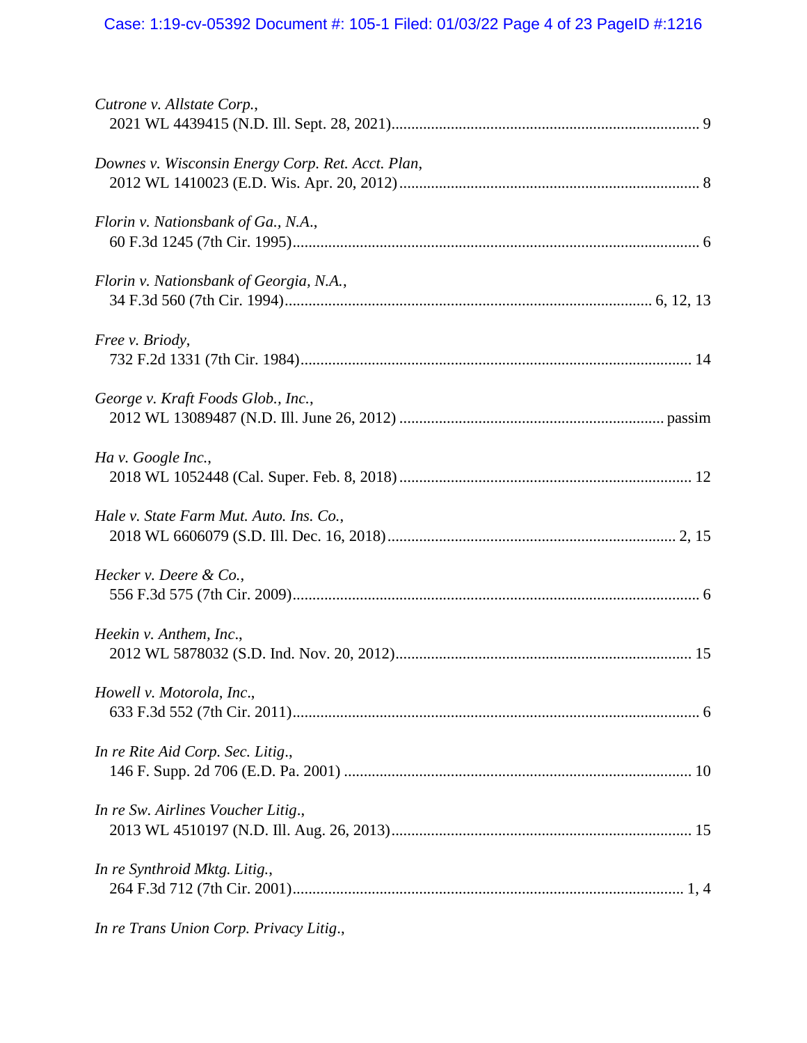# Case: 1:19-cv-05392 Document #: 105-1 Filed: 01/03/22 Page 4 of 23 PageID #:1216

| Cutrone v. Allstate Corp.,                        |
|---------------------------------------------------|
| Downes v. Wisconsin Energy Corp. Ret. Acct. Plan, |
| Florin v. Nationsbank of Ga., N.A.,               |
| Florin v. Nationsbank of Georgia, N.A.,           |
| Free v. Briody,                                   |
| George v. Kraft Foods Glob., Inc.,                |
| Ha v. Google Inc.,                                |
| Hale v. State Farm Mut. Auto. Ins. Co.,           |
| Hecker v. Deere $\&$ Co.,                         |
| Heekin v. Anthem, Inc.,                           |
| Howell v. Motorola, Inc.,                         |
| In re Rite Aid Corp. Sec. Litig.,                 |
| In re Sw. Airlines Voucher Litig.,                |
| In re Synthroid Mktg. Litig.,                     |
| In re Trans Union Corp. Privacy Litig.,           |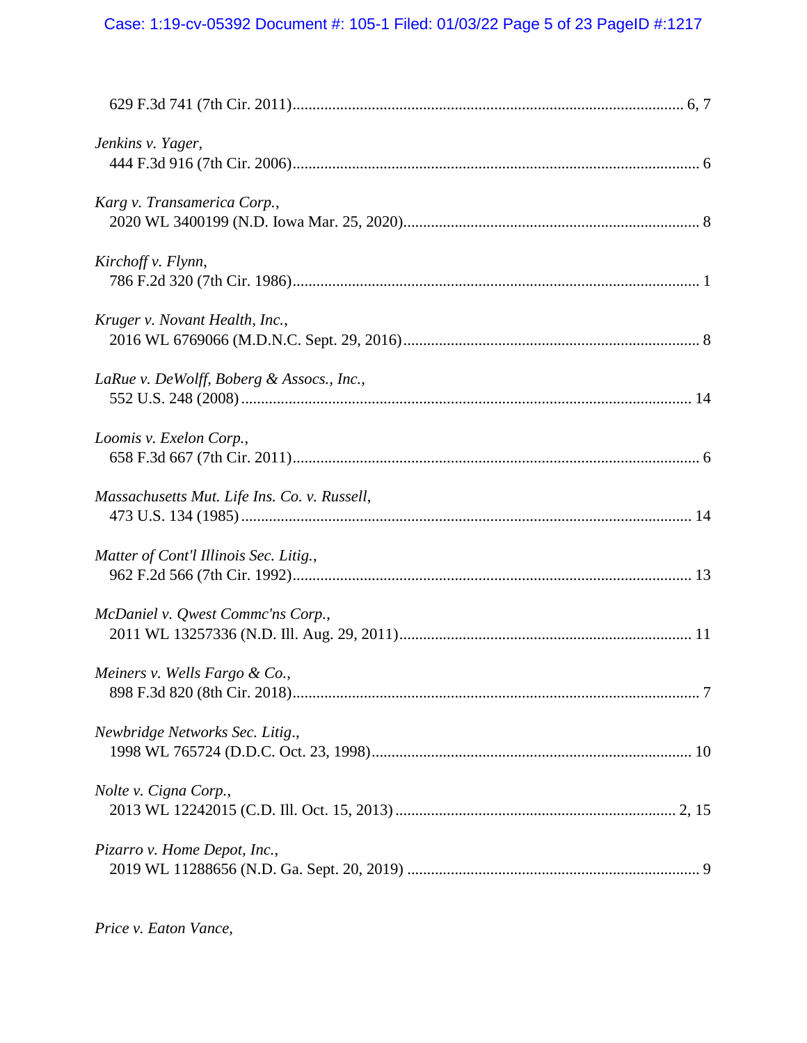# Case: 1:19-cv-05392 Document #: 105-1 Filed: 01/03/22 Page 5 of 23 PageID #:1217

| Jenkins v. Yager,                            |  |
|----------------------------------------------|--|
| Karg v. Transamerica Corp.,                  |  |
| Kirchoff v. Flynn,                           |  |
| Kruger v. Novant Health, Inc.,               |  |
| LaRue v. DeWolff, Boberg & Assocs., Inc.,    |  |
| Loomis v. Exelon Corp.,                      |  |
| Massachusetts Mut. Life Ins. Co. v. Russell, |  |
| Matter of Cont'l Illinois Sec. Litig.,       |  |
| McDaniel v. Qwest Commc'ns Corp.,            |  |
| Meiners v. Wells Fargo & Co.,                |  |
| Newbridge Networks Sec. Litig.,              |  |
| Nolte v. Cigna Corp.,                        |  |
| Pizarro v. Home Depot, Inc.,                 |  |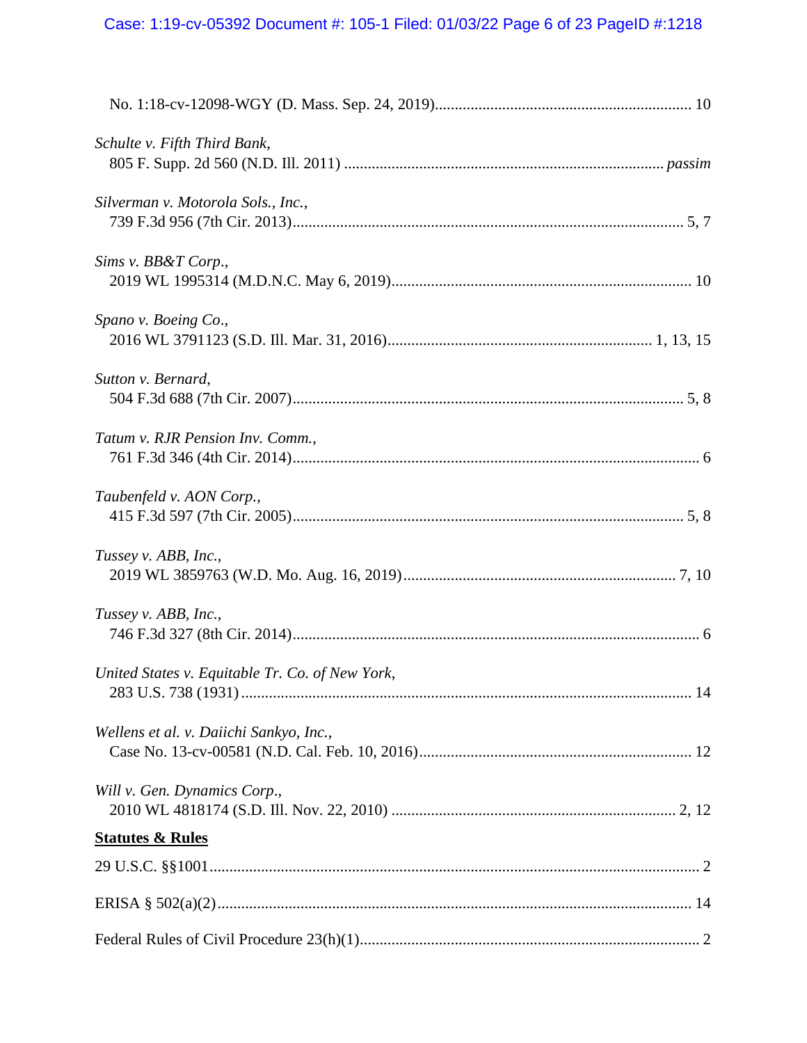# Case: 1:19-cv-05392 Document #: 105-1 Filed: 01/03/22 Page 6 of 23 PageID #:1218

| Schulte v. Fifth Third Bank,                    |  |
|-------------------------------------------------|--|
| Silverman v. Motorola Sols., Inc.,              |  |
| Sims v. BB&T Corp.,                             |  |
| Spano v. Boeing Co.,                            |  |
| Sutton v. Bernard,                              |  |
| Tatum v. RJR Pension Inv. Comm.,                |  |
| Taubenfeld v. AON Corp.,                        |  |
| Tussey v. ABB, Inc.,                            |  |
| Tussey v. ABB, Inc.,                            |  |
| United States v. Equitable Tr. Co. of New York, |  |
| Wellens et al. v. Daiichi Sankyo, Inc.,         |  |
| Will v. Gen. Dynamics Corp.,                    |  |
| <b>Statutes &amp; Rules</b>                     |  |
|                                                 |  |
|                                                 |  |
|                                                 |  |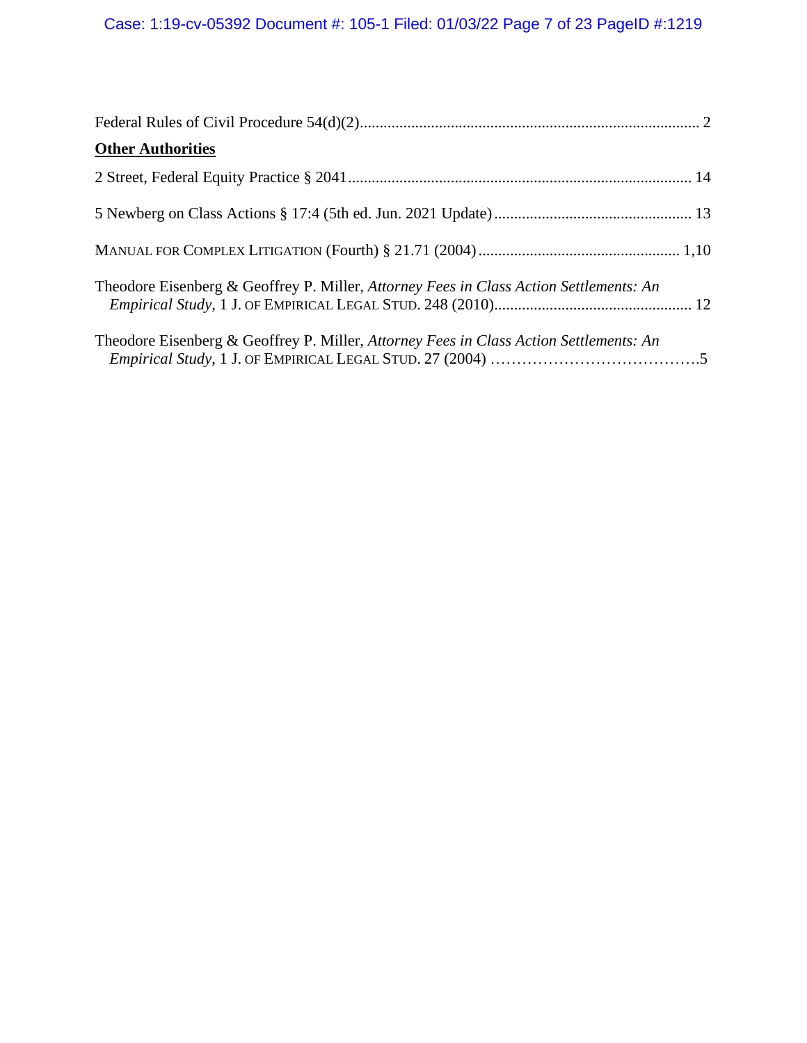| <b>Other Authorities</b>                                                               |  |
|----------------------------------------------------------------------------------------|--|
|                                                                                        |  |
|                                                                                        |  |
|                                                                                        |  |
| Theodore Eisenberg & Geoffrey P. Miller, Attorney Fees in Class Action Settlements: An |  |
| Theodore Eisenberg & Geoffrey P. Miller, Attorney Fees in Class Action Settlements: An |  |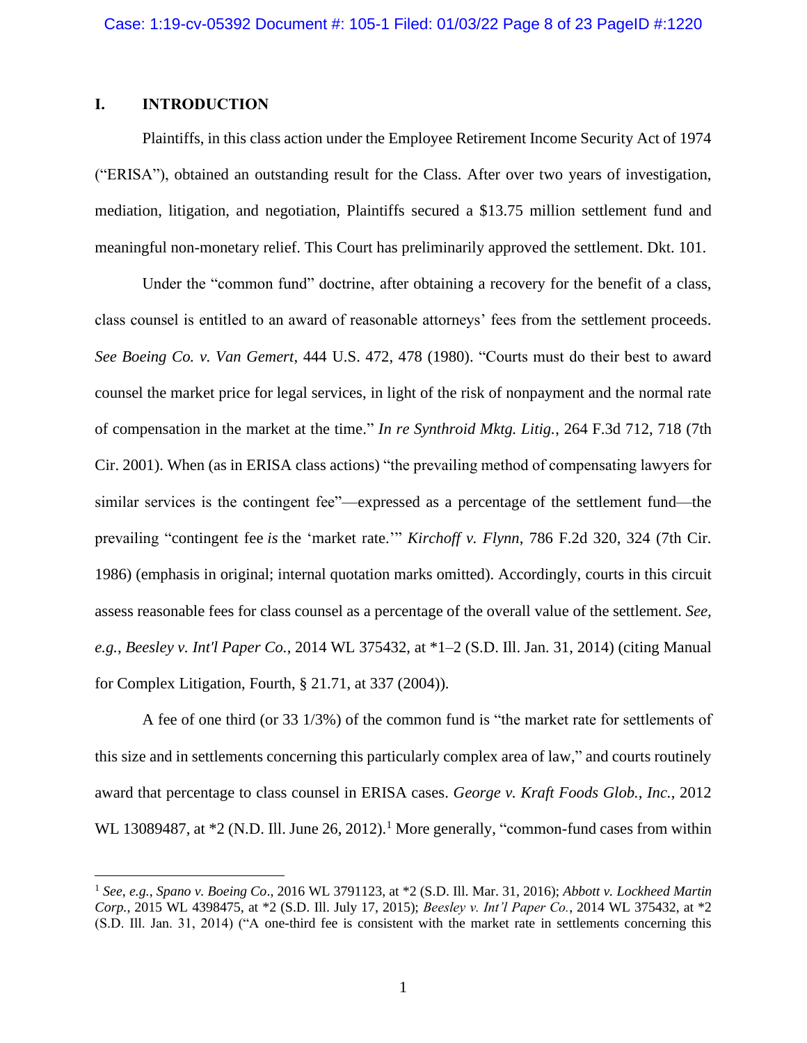# **I. INTRODUCTION**

Plaintiffs, in this class action under the Employee Retirement Income Security Act of 1974 ("ERISA"), obtained an outstanding result for the Class. After over two years of investigation, mediation, litigation, and negotiation, Plaintiffs secured a \$13.75 million settlement fund and meaningful non-monetary relief. This Court has preliminarily approved the settlement. Dkt. 101.

Under the "common fund" doctrine, after obtaining a recovery for the benefit of a class, class counsel is entitled to an award of reasonable attorneys' fees from the settlement proceeds. *See Boeing Co. v. Van Gemert*, 444 U.S. 472, 478 (1980). "Courts must do their best to award counsel the market price for legal services, in light of the risk of nonpayment and the normal rate of compensation in the market at the time." *In re Synthroid Mktg. Litig.*, 264 F.3d 712, 718 (7th Cir. 2001). When (as in ERISA class actions) "the prevailing method of compensating lawyers for similar services is the contingent fee"—expressed as a percentage of the settlement fund—the prevailing "contingent fee *is* the 'market rate.'" *Kirchoff v. Flynn*, 786 F.2d 320, 324 (7th Cir. 1986) (emphasis in original; internal quotation marks omitted). Accordingly, courts in this circuit assess reasonable fees for class counsel as a percentage of the overall value of the settlement. *See, e.g.*, *Beesley v. Int'l Paper Co.*, 2014 WL 375432, at \*1–2 (S.D. Ill. Jan. 31, 2014) (citing Manual for Complex Litigation, Fourth, § 21.71, at 337 (2004)).

A fee of one third (or 33 1/3%) of the common fund is "the market rate for settlements of this size and in settlements concerning this particularly complex area of law," and courts routinely award that percentage to class counsel in ERISA cases. *George v. Kraft Foods Glob., Inc.*, 2012 WL 13089487, at  $*2$  (N.D. Ill. June 26, 2012).<sup>1</sup> More generally, "common-fund cases from within

<sup>1</sup> *See*, *e.g.*, *Spano v. Boeing Co*., 2016 WL 3791123, at \*2 (S.D. Ill. Mar. 31, 2016); *Abbott v. Lockheed Martin Corp.*, 2015 WL 4398475, at \*2 (S.D. Ill. July 17, 2015); *Beesley v. Int'l Paper Co.*, 2014 WL 375432, at \*2 (S.D. Ill. Jan. 31, 2014) ("A one-third fee is consistent with the market rate in settlements concerning this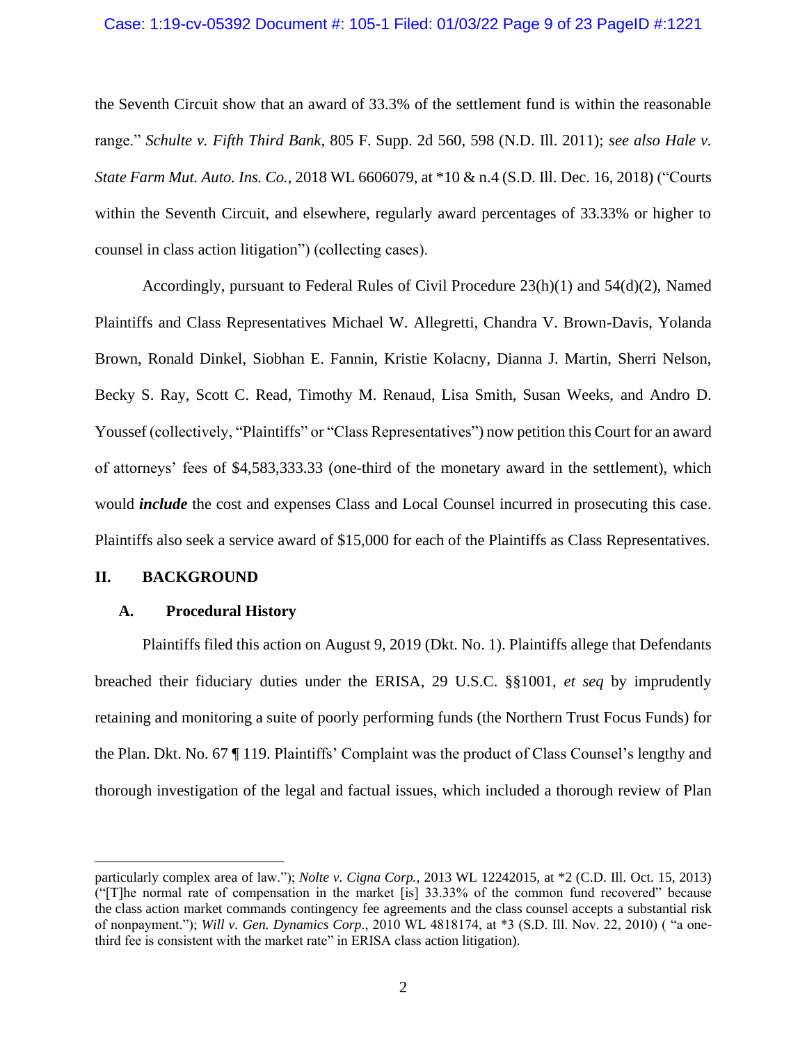#### Case: 1:19-cv-05392 Document #: 105-1 Filed: 01/03/22 Page 9 of 23 PageID #:1221

the Seventh Circuit show that an award of 33.3% of the settlement fund is within the reasonable range." *Schulte v. Fifth Third Bank*, 805 F. Supp. 2d 560, 598 (N.D. Ill. 2011); *see also Hale v. State Farm Mut. Auto. Ins. Co.*, 2018 WL 6606079, at \*10 & n.4 (S.D. Ill. Dec. 16, 2018) ("Courts within the Seventh Circuit, and elsewhere, regularly award percentages of 33.33% or higher to counsel in class action litigation") (collecting cases).

Accordingly, pursuant to Federal Rules of Civil Procedure 23(h)(1) and 54(d)(2), Named Plaintiffs and Class Representatives Michael W. Allegretti, Chandra V. Brown-Davis, Yolanda Brown, Ronald Dinkel, Siobhan E. Fannin, Kristie Kolacny, Dianna J. Martin, Sherri Nelson, Becky S. Ray, Scott C. Read, Timothy M. Renaud, Lisa Smith, Susan Weeks, and Andro D. Youssef (collectively, "Plaintiffs" or "Class Representatives") now petition this Court for an award of attorneys' fees of \$4,583,333.33 (one-third of the monetary award in the settlement), which would *include* the cost and expenses Class and Local Counsel incurred in prosecuting this case. Plaintiffs also seek a service award of \$15,000 for each of the Plaintiffs as Class Representatives.

#### **II. BACKGROUND**

#### **A. Procedural History**

Plaintiffs filed this action on August 9, 2019 (Dkt. No. 1). Plaintiffs allege that Defendants breached their fiduciary duties under the ERISA, 29 U.S.C. §§1001, *et seq* by imprudently retaining and monitoring a suite of poorly performing funds (the Northern Trust Focus Funds) for the Plan. Dkt. No. 67 ¶ 119. Plaintiffs' Complaint was the product of Class Counsel's lengthy and thorough investigation of the legal and factual issues, which included a thorough review of Plan

particularly complex area of law."); *Nolte v. Cigna Corp.*, 2013 WL 12242015, at \*2 (C.D. Ill. Oct. 15, 2013) ("[T]he normal rate of compensation in the market [is] 33.33% of the common fund recovered" because the class action market commands contingency fee agreements and the class counsel accepts a substantial risk of nonpayment."); *Will v. Gen. Dynamics Corp*., 2010 WL 4818174, at \*3 (S.D. Ill. Nov. 22, 2010) ( "a onethird fee is consistent with the market rate" in ERISA class action litigation).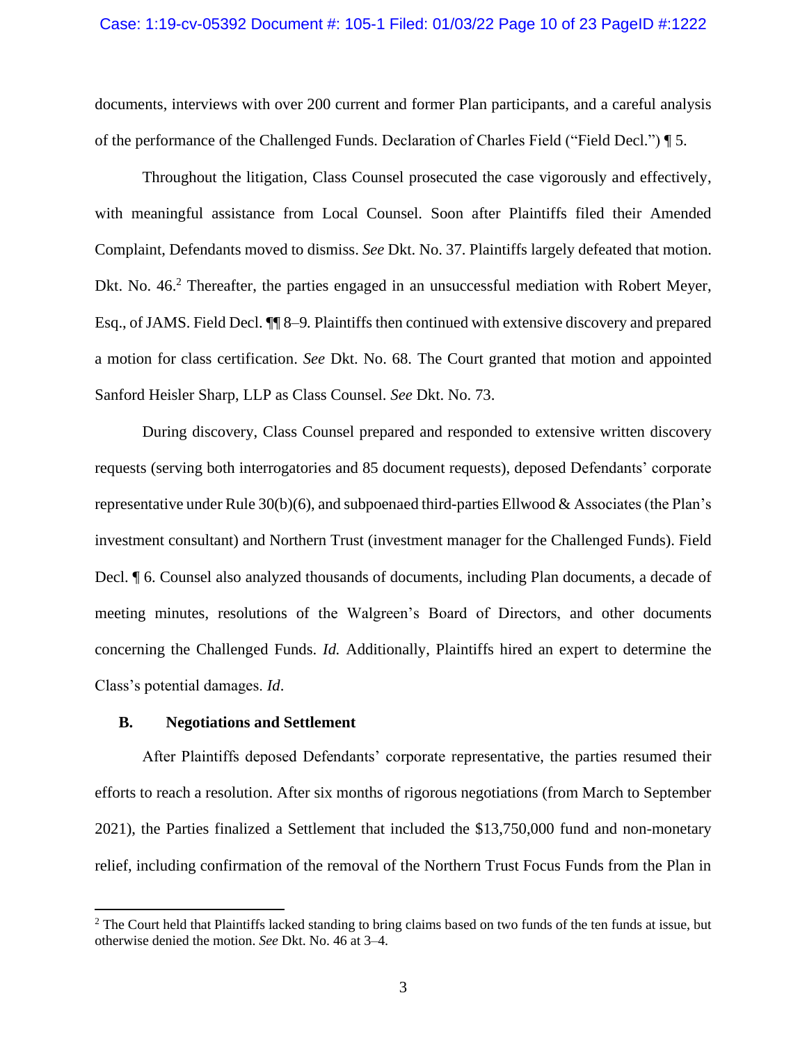#### Case: 1:19-cv-05392 Document #: 105-1 Filed: 01/03/22 Page 10 of 23 PageID #:1222

documents, interviews with over 200 current and former Plan participants, and a careful analysis of the performance of the Challenged Funds. Declaration of Charles Field ("Field Decl.") ¶ 5.

Throughout the litigation, Class Counsel prosecuted the case vigorously and effectively, with meaningful assistance from Local Counsel. Soon after Plaintiffs filed their Amended Complaint, Defendants moved to dismiss. *See* Dkt. No. 37. Plaintiffs largely defeated that motion. Dkt. No. 46.<sup>2</sup> Thereafter, the parties engaged in an unsuccessful mediation with Robert Meyer, Esq., of JAMS. Field Decl. ¶¶ 8–9*.* Plaintiffs then continued with extensive discovery and prepared a motion for class certification. *See* Dkt. No. 68. The Court granted that motion and appointed Sanford Heisler Sharp, LLP as Class Counsel. *See* Dkt. No. 73.

During discovery, Class Counsel prepared and responded to extensive written discovery requests (serving both interrogatories and 85 document requests), deposed Defendants' corporate representative under Rule 30(b)(6), and subpoenaed third-parties Ellwood & Associates (the Plan's investment consultant) and Northern Trust (investment manager for the Challenged Funds). Field Decl. ¶ 6. Counsel also analyzed thousands of documents, including Plan documents, a decade of meeting minutes, resolutions of the Walgreen's Board of Directors, and other documents concerning the Challenged Funds. *Id.* Additionally, Plaintiffs hired an expert to determine the Class's potential damages. *Id*.

### **B. Negotiations and Settlement**

After Plaintiffs deposed Defendants' corporate representative, the parties resumed their efforts to reach a resolution. After six months of rigorous negotiations (from March to September 2021), the Parties finalized a Settlement that included the \$13,750,000 fund and non-monetary relief, including confirmation of the removal of the Northern Trust Focus Funds from the Plan in

<sup>&</sup>lt;sup>2</sup> The Court held that Plaintiffs lacked standing to bring claims based on two funds of the ten funds at issue, but otherwise denied the motion. *See* Dkt. No. 46 at 3–4.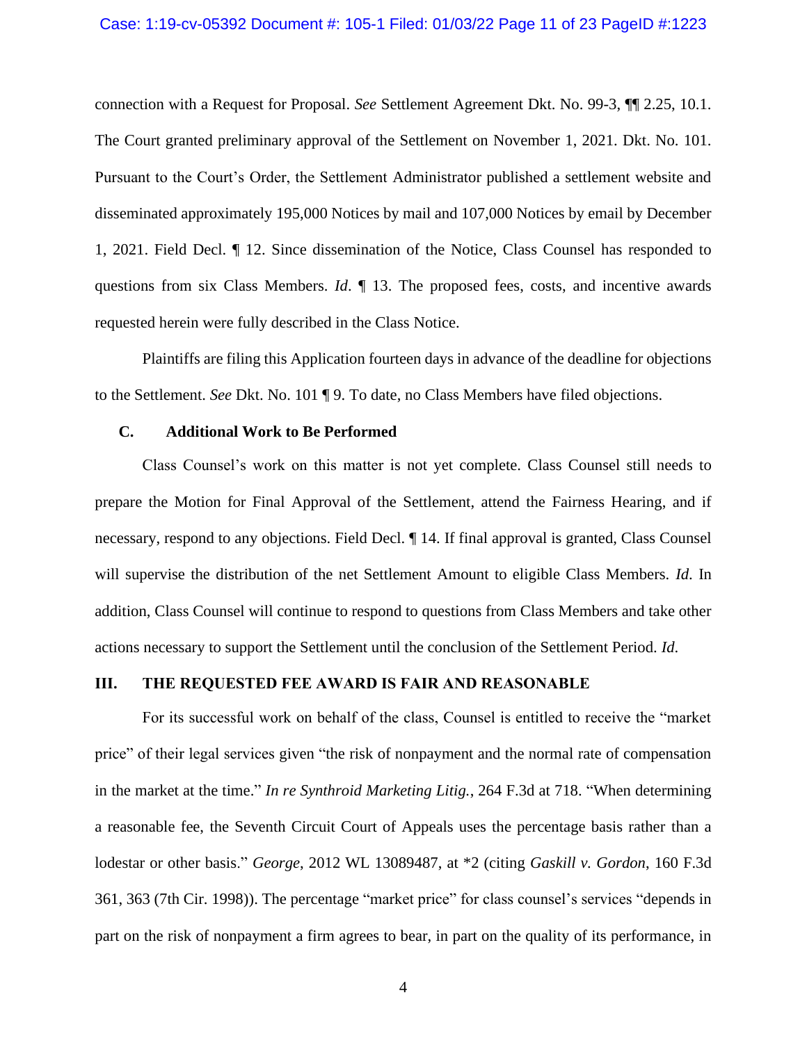#### Case: 1:19-cv-05392 Document #: 105-1 Filed: 01/03/22 Page 11 of 23 PageID #:1223

connection with a Request for Proposal. *See* Settlement Agreement Dkt. No. 99-3, ¶¶ 2.25, 10.1. The Court granted preliminary approval of the Settlement on November 1, 2021. Dkt. No. 101. Pursuant to the Court's Order, the Settlement Administrator published a settlement website and disseminated approximately 195,000 Notices by mail and 107,000 Notices by email by December 1, 2021. Field Decl. ¶ 12. Since dissemination of the Notice, Class Counsel has responded to questions from six Class Members. *Id*. ¶ 13. The proposed fees, costs, and incentive awards requested herein were fully described in the Class Notice.

Plaintiffs are filing this Application fourteen days in advance of the deadline for objections to the Settlement. *See* Dkt. No. 101 ¶ 9. To date, no Class Members have filed objections.

## **C. Additional Work to Be Performed**

Class Counsel's work on this matter is not yet complete. Class Counsel still needs to prepare the Motion for Final Approval of the Settlement, attend the Fairness Hearing, and if necessary, respond to any objections. Field Decl. ¶ 14. If final approval is granted, Class Counsel will supervise the distribution of the net Settlement Amount to eligible Class Members. *Id*. In addition, Class Counsel will continue to respond to questions from Class Members and take other actions necessary to support the Settlement until the conclusion of the Settlement Period. *Id*.

# **III. THE REQUESTED FEE AWARD IS FAIR AND REASONABLE**

For its successful work on behalf of the class, Counsel is entitled to receive the "market price" of their legal services given "the risk of nonpayment and the normal rate of compensation in the market at the time." *In re Synthroid Marketing Litig.*, 264 F.3d at 718. "When determining a reasonable fee, the Seventh Circuit Court of Appeals uses the percentage basis rather than a lodestar or other basis." *George*, 2012 WL 13089487, at \*2 (citing *Gaskill v. Gordon*, 160 F.3d 361, 363 (7th Cir. 1998)). The percentage "market price" for class counsel's services "depends in part on the risk of nonpayment a firm agrees to bear, in part on the quality of its performance, in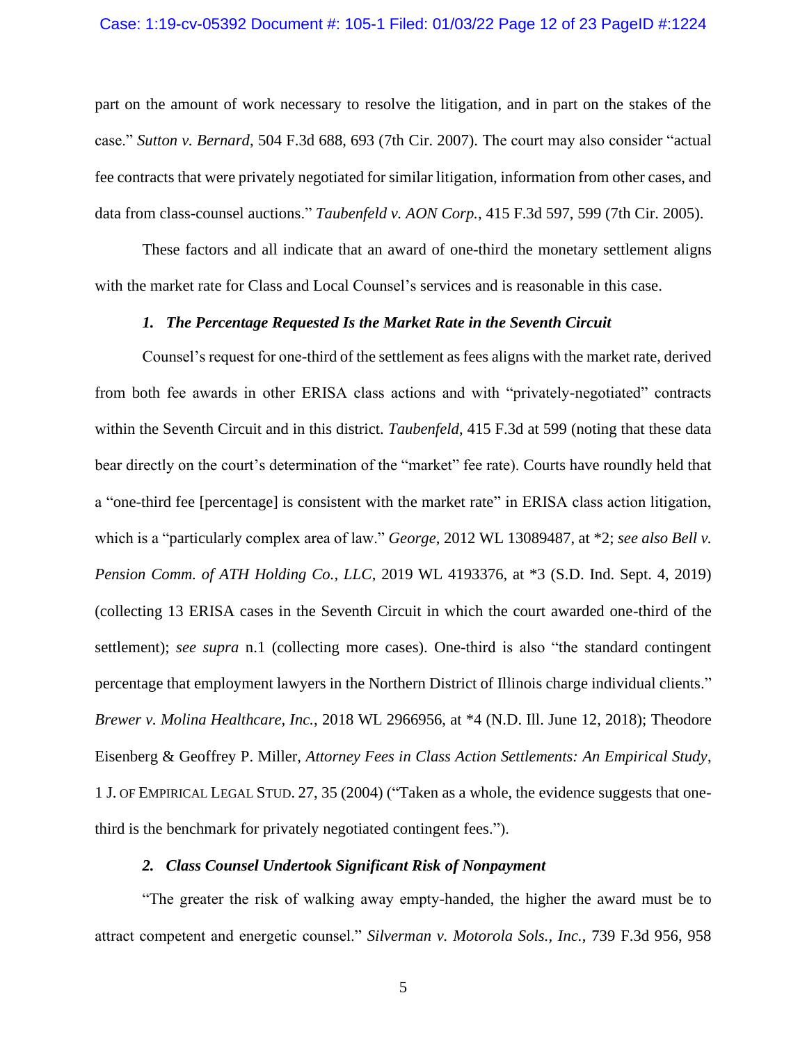#### Case: 1:19-cv-05392 Document #: 105-1 Filed: 01/03/22 Page 12 of 23 PageID #:1224

part on the amount of work necessary to resolve the litigation, and in part on the stakes of the case." *Sutton v. Bernard*, 504 F.3d 688, 693 (7th Cir. 2007). The court may also consider "actual fee contracts that were privately negotiated for similar litigation, information from other cases, and data from class-counsel auctions." *Taubenfeld v. AON Corp.*, 415 F.3d 597, 599 (7th Cir. 2005).

These factors and all indicate that an award of one-third the monetary settlement aligns with the market rate for Class and Local Counsel's services and is reasonable in this case.

## *1. The Percentage Requested Is the Market Rate in the Seventh Circuit*

Counsel's request for one-third of the settlement as fees aligns with the market rate, derived from both fee awards in other ERISA class actions and with "privately-negotiated" contracts within the Seventh Circuit and in this district. *Taubenfeld*, 415 F.3d at 599 (noting that these data bear directly on the court's determination of the "market" fee rate). Courts have roundly held that a "one-third fee [percentage] is consistent with the market rate" in ERISA class action litigation, which is a "particularly complex area of law." *George*, 2012 WL 13089487, at \*2; *see also Bell v. Pension Comm. of ATH Holding Co., LLC*, 2019 WL 4193376, at \*3 (S.D. Ind. Sept. 4, 2019) (collecting 13 ERISA cases in the Seventh Circuit in which the court awarded one-third of the settlement); *see supra* n.1 (collecting more cases). One-third is also "the standard contingent percentage that employment lawyers in the Northern District of Illinois charge individual clients." *Brewer v. Molina Healthcare, Inc.*, 2018 WL 2966956, at \*4 (N.D. Ill. June 12, 2018); Theodore Eisenberg & Geoffrey P. Miller, *Attorney Fees in Class Action Settlements: An Empirical Study*, 1 J. OF EMPIRICAL LEGAL STUD. 27, 35 (2004) ("Taken as a whole, the evidence suggests that onethird is the benchmark for privately negotiated contingent fees.").

# *2. Class Counsel Undertook Significant Risk of Nonpayment*

"The greater the risk of walking away empty-handed, the higher the award must be to attract competent and energetic counsel." *Silverman v. Motorola Sols., Inc.*, 739 F.3d 956, 958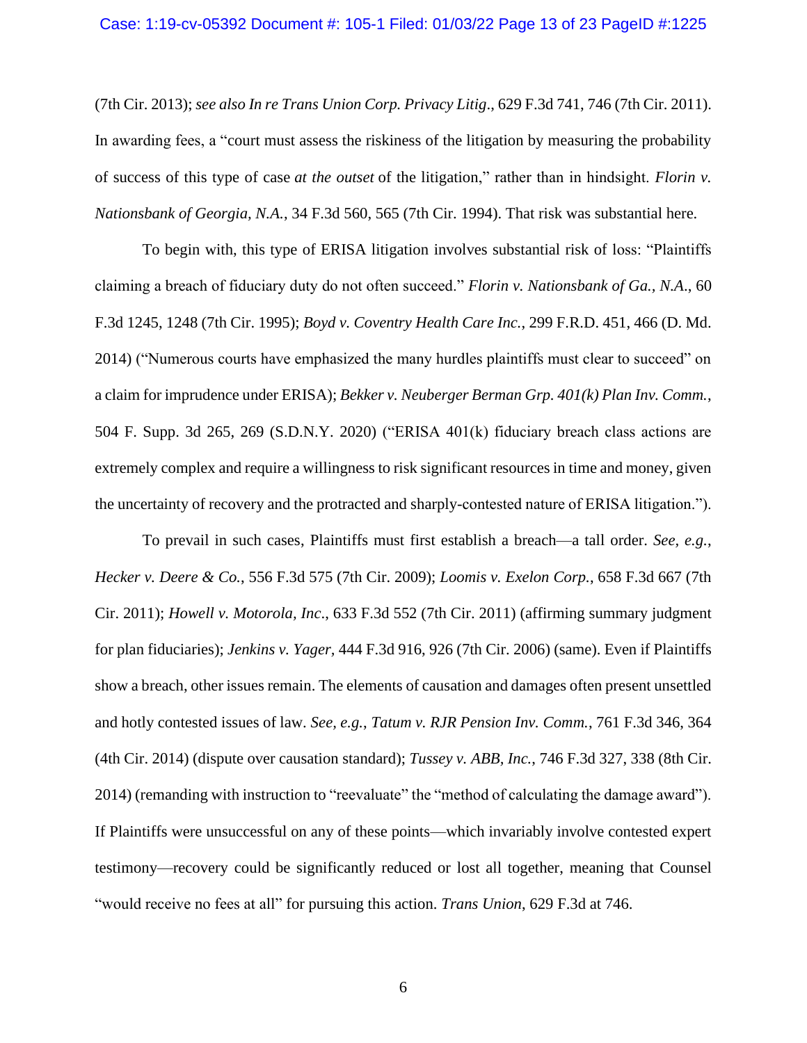#### Case: 1:19-cv-05392 Document #: 105-1 Filed: 01/03/22 Page 13 of 23 PageID #:1225

(7th Cir. 2013); *see also In re Trans Union Corp. Privacy Litig*., 629 F.3d 741, 746 (7th Cir. 2011). In awarding fees, a "court must assess the riskiness of the litigation by measuring the probability of success of this type of case *at the outset* of the litigation," rather than in hindsight. *Florin v. Nationsbank of Georgia, N.A.*, 34 F.3d 560, 565 (7th Cir. 1994). That risk was substantial here.

To begin with, this type of ERISA litigation involves substantial risk of loss: "Plaintiffs claiming a breach of fiduciary duty do not often succeed." *Florin v. Nationsbank of Ga., N.A*., 60 F.3d 1245, 1248 (7th Cir. 1995); *Boyd v. Coventry Health Care Inc.*, 299 F.R.D. 451, 466 (D. Md. 2014) ("Numerous courts have emphasized the many hurdles plaintiffs must clear to succeed" on a claim for imprudence under ERISA); *Bekker v. Neuberger Berman Grp. 401(k) Plan Inv. Comm.*, 504 F. Supp. 3d 265, 269 (S.D.N.Y. 2020) ("ERISA 401(k) fiduciary breach class actions are extremely complex and require a willingness to risk significant resources in time and money, given the uncertainty of recovery and the protracted and sharply-contested nature of ERISA litigation.").

To prevail in such cases, Plaintiffs must first establish a breach—a tall order. *See, e.g.*, *Hecker v. Deere & Co.*, 556 F.3d 575 (7th Cir. 2009); *Loomis v. Exelon Corp.*, 658 F.3d 667 (7th Cir. 2011); *Howell v. Motorola, Inc*., 633 F.3d 552 (7th Cir. 2011) (affirming summary judgment for plan fiduciaries); *Jenkins v. Yager,* 444 F.3d 916, 926 (7th Cir. 2006) (same). Even if Plaintiffs show a breach, other issues remain. The elements of causation and damages often present unsettled and hotly contested issues of law. *See, e.g.*, *Tatum v. RJR Pension Inv. Comm.*, 761 F.3d 346, 364 (4th Cir. 2014) (dispute over causation standard); *Tussey v. ABB, Inc.*, 746 F.3d 327, 338 (8th Cir. 2014) (remanding with instruction to "reevaluate" the "method of calculating the damage award"). If Plaintiffs were unsuccessful on any of these points—which invariably involve contested expert testimony—recovery could be significantly reduced or lost all together, meaning that Counsel "would receive no fees at all" for pursuing this action. *Trans Union*, 629 F.3d at 746.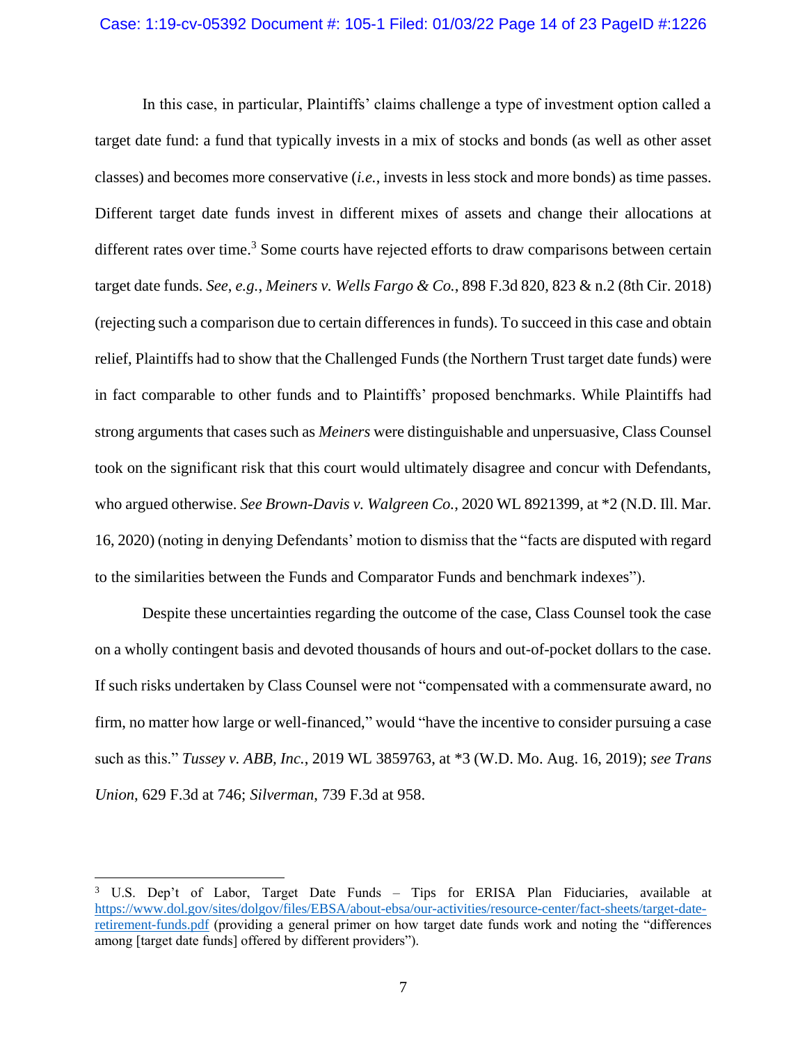In this case, in particular, Plaintiffs' claims challenge a type of investment option called a target date fund: a fund that typically invests in a mix of stocks and bonds (as well as other asset classes) and becomes more conservative (*i.e.*, invests in less stock and more bonds) as time passes. Different target date funds invest in different mixes of assets and change their allocations at different rates over time.<sup>3</sup> Some courts have rejected efforts to draw comparisons between certain target date funds. *See*, *e.g.*, *Meiners v. Wells Fargo & Co.*, 898 F.3d 820, 823 & n.2 (8th Cir. 2018) (rejecting such a comparison due to certain differences in funds). To succeed in this case and obtain relief, Plaintiffs had to show that the Challenged Funds (the Northern Trust target date funds) were in fact comparable to other funds and to Plaintiffs' proposed benchmarks. While Plaintiffs had strong arguments that cases such as *Meiners* were distinguishable and unpersuasive, Class Counsel took on the significant risk that this court would ultimately disagree and concur with Defendants, who argued otherwise. *See Brown-Davis v. Walgreen Co.*, 2020 WL 8921399, at \*2 (N.D. Ill. Mar. 16, 2020) (noting in denying Defendants' motion to dismiss that the "facts are disputed with regard to the similarities between the Funds and Comparator Funds and benchmark indexes").

Despite these uncertainties regarding the outcome of the case, Class Counsel took the case on a wholly contingent basis and devoted thousands of hours and out-of-pocket dollars to the case. If such risks undertaken by Class Counsel were not "compensated with a commensurate award, no firm, no matter how large or well-financed," would "have the incentive to consider pursuing a case such as this." *Tussey v. ABB, Inc.*, 2019 WL 3859763, at \*3 (W.D. Mo. Aug. 16, 2019); *see Trans Union*, 629 F.3d at 746; *Silverman*, 739 F.3d at 958.

<sup>3</sup> U.S. Dep't of Labor, Target Date Funds – Tips for ERISA Plan Fiduciaries, available at https://www.dol.gov/sites/dolgov/files/EBSA/about-ebsa/our-activities/resource-center/fact-sheets/target-dateretirement-funds.pdf (providing a general primer on how target date funds work and noting the "differences among [target date funds] offered by different providers").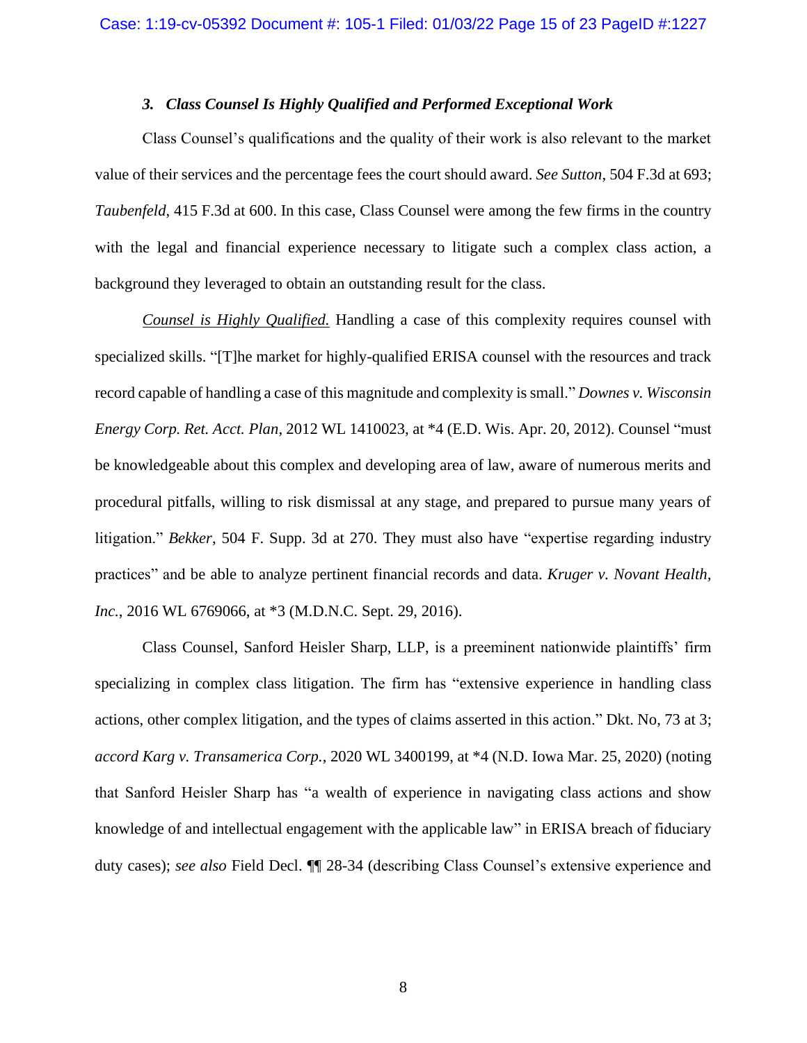# *3. Class Counsel Is Highly Qualified and Performed Exceptional Work*

Class Counsel's qualifications and the quality of their work is also relevant to the market value of their services and the percentage fees the court should award. *See Sutton*, 504 F.3d at 693; *Taubenfeld*, 415 F.3d at 600. In this case, Class Counsel were among the few firms in the country with the legal and financial experience necessary to litigate such a complex class action, a background they leveraged to obtain an outstanding result for the class.

*Counsel is Highly Qualified.* Handling a case of this complexity requires counsel with specialized skills. "[T]he market for highly-qualified ERISA counsel with the resources and track record capable of handling a case of this magnitude and complexity is small." *Downes v. Wisconsin Energy Corp. Ret. Acct. Plan*, 2012 WL 1410023, at \*4 (E.D. Wis. Apr. 20, 2012). Counsel "must be knowledgeable about this complex and developing area of law, aware of numerous merits and procedural pitfalls, willing to risk dismissal at any stage, and prepared to pursue many years of litigation." *Bekker*, 504 F. Supp. 3d at 270. They must also have "expertise regarding industry practices" and be able to analyze pertinent financial records and data. *Kruger v. Novant Health, Inc.*, 2016 WL 6769066, at \*3 (M.D.N.C. Sept. 29, 2016).

Class Counsel, Sanford Heisler Sharp, LLP, is a preeminent nationwide plaintiffs' firm specializing in complex class litigation. The firm has "extensive experience in handling class actions, other complex litigation, and the types of claims asserted in this action." Dkt. No, 73 at 3; *accord Karg v. Transamerica Corp.*, 2020 WL 3400199, at \*4 (N.D. Iowa Mar. 25, 2020) (noting that Sanford Heisler Sharp has "a wealth of experience in navigating class actions and show knowledge of and intellectual engagement with the applicable law" in ERISA breach of fiduciary duty cases); *see also* Field Decl. ¶¶ 28-34 (describing Class Counsel's extensive experience and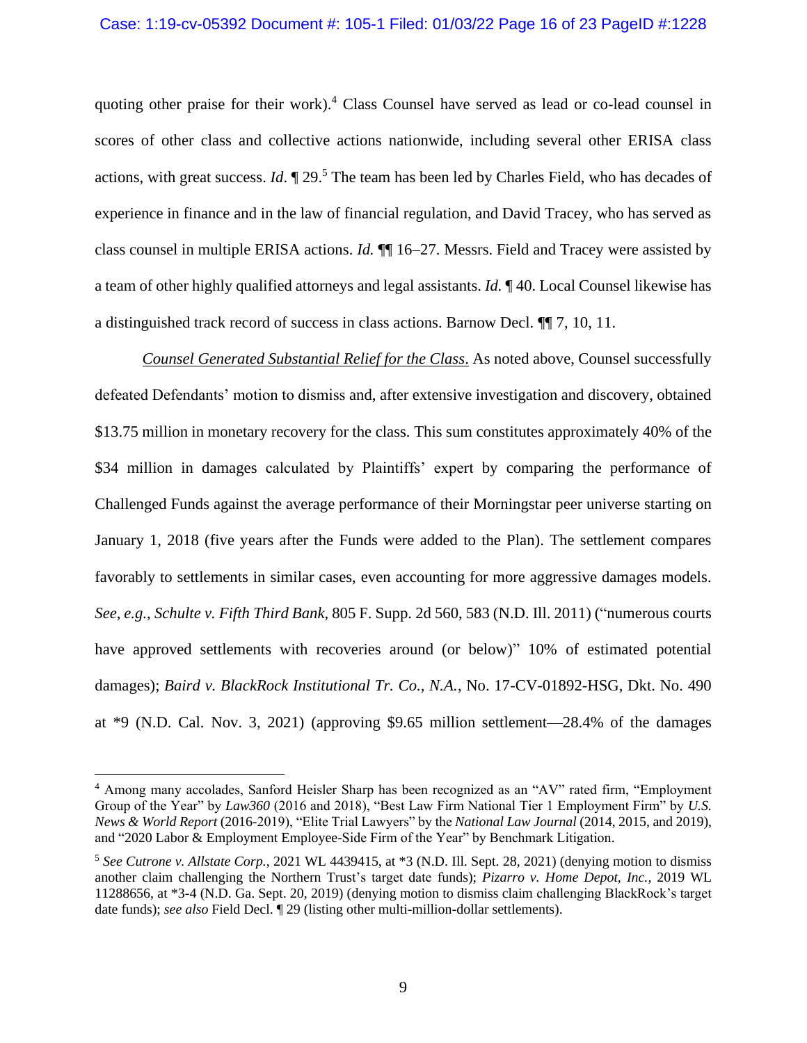#### Case: 1:19-cv-05392 Document #: 105-1 Filed: 01/03/22 Page 16 of 23 PageID #:1228

quoting other praise for their work).<sup>4</sup> Class Counsel have served as lead or co-lead counsel in scores of other class and collective actions nationwide, including several other ERISA class actions, with great success. *Id*. ¶ 29. <sup>5</sup> The team has been led by Charles Field, who has decades of experience in finance and in the law of financial regulation, and David Tracey, who has served as class counsel in multiple ERISA actions. *Id.* ¶¶ 16–27. Messrs. Field and Tracey were assisted by a team of other highly qualified attorneys and legal assistants. *Id.* ¶ 40. Local Counsel likewise has a distinguished track record of success in class actions. Barnow Decl. ¶¶ 7, 10, 11.

*Counsel Generated Substantial Relief for the Class*. As noted above, Counsel successfully defeated Defendants' motion to dismiss and, after extensive investigation and discovery, obtained \$13.75 million in monetary recovery for the class. This sum constitutes approximately 40% of the \$34 million in damages calculated by Plaintiffs' expert by comparing the performance of Challenged Funds against the average performance of their Morningstar peer universe starting on January 1, 2018 (five years after the Funds were added to the Plan). The settlement compares favorably to settlements in similar cases, even accounting for more aggressive damages models. *See*, *e.g.*, *Schulte v. Fifth Third Bank*, 805 F. Supp. 2d 560, 583 (N.D. Ill. 2011) ("numerous courts have approved settlements with recoveries around (or below)" 10% of estimated potential damages); *Baird v. BlackRock Institutional Tr. Co., N.A.*, No. 17-CV-01892-HSG, Dkt. No. 490 at \*9 (N.D. Cal. Nov. 3, 2021) (approving \$9.65 million settlement—28.4% of the damages

<sup>4</sup> Among many accolades, Sanford Heisler Sharp has been recognized as an "AV" rated firm, "Employment Group of the Year" by *Law360* (2016 and 2018), "Best Law Firm National Tier 1 Employment Firm" by *U.S. News & World Report* (2016-2019), "Elite Trial Lawyers" by the *National Law Journal* (2014, 2015, and 2019), and "2020 Labor & Employment Employee-Side Firm of the Year" by Benchmark Litigation.

<sup>5</sup> *See Cutrone v. Allstate Corp.*, 2021 WL 4439415, at \*3 (N.D. Ill. Sept. 28, 2021) (denying motion to dismiss another claim challenging the Northern Trust's target date funds); *Pizarro v. Home Depot, Inc.*, 2019 WL 11288656, at \*3-4 (N.D. Ga. Sept. 20, 2019) (denying motion to dismiss claim challenging BlackRock's target date funds); *see also* Field Decl. ¶ 29 (listing other multi-million-dollar settlements).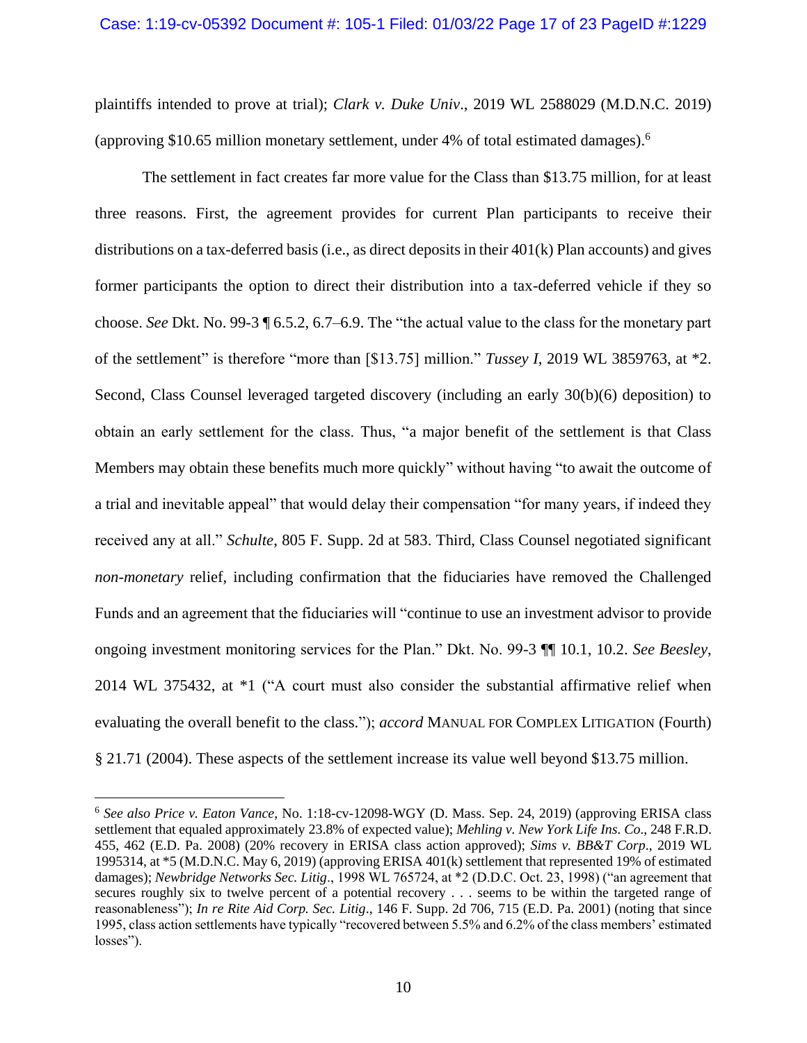plaintiffs intended to prove at trial); *Clark v. Duke Univ*., 2019 WL 2588029 (M.D.N.C. 2019) (approving \$10.65 million monetary settlement, under 4% of total estimated damages). 6

The settlement in fact creates far more value for the Class than \$13.75 million, for at least three reasons. First, the agreement provides for current Plan participants to receive their distributions on a tax-deferred basis (i.e., as direct deposits in their  $401(k)$  Plan accounts) and gives former participants the option to direct their distribution into a tax-deferred vehicle if they so choose. *See* Dkt. No. 99-3 ¶ 6.5.2, 6.7–6.9. The "the actual value to the class for the monetary part of the settlement" is therefore "more than [\$13.75] million." *Tussey I*, 2019 WL 3859763, at \*2. Second, Class Counsel leveraged targeted discovery (including an early 30(b)(6) deposition) to obtain an early settlement for the class. Thus, "a major benefit of the settlement is that Class Members may obtain these benefits much more quickly" without having "to await the outcome of a trial and inevitable appeal" that would delay their compensation "for many years, if indeed they received any at all." *Schulte*, 805 F. Supp. 2d at 583. Third, Class Counsel negotiated significant *non-monetary* relief, including confirmation that the fiduciaries have removed the Challenged Funds and an agreement that the fiduciaries will "continue to use an investment advisor to provide ongoing investment monitoring services for the Plan." Dkt. No. 99-3 ¶¶ 10.1, 10.2. *See Beesley*, 2014 WL 375432, at \*1 ("A court must also consider the substantial affirmative relief when evaluating the overall benefit to the class."); *accord* MANUAL FOR COMPLEX LITIGATION (Fourth) § 21.71 (2004). These aspects of the settlement increase its value well beyond \$13.75 million.

<sup>6</sup> *See also Price v. Eaton Vance*, No. 1:18-cv-12098-WGY (D. Mass. Sep. 24, 2019) (approving ERISA class settlement that equaled approximately 23.8% of expected value); *Mehling v. New York Life Ins. Co*., 248 F.R.D. 455, 462 (E.D. Pa. 2008) (20% recovery in ERISA class action approved); *Sims v. BB&T Corp*., 2019 WL 1995314, at \*5 (M.D.N.C. May 6, 2019) (approving ERISA 401(k) settlement that represented 19% of estimated damages); *Newbridge Networks Sec. Litig*., 1998 WL 765724, at \*2 (D.D.C. Oct. 23, 1998) ("an agreement that secures roughly six to twelve percent of a potential recovery . . . seems to be within the targeted range of reasonableness"); *In re Rite Aid Corp. Sec. Litig*., 146 F. Supp. 2d 706, 715 (E.D. Pa. 2001) (noting that since 1995, class action settlements have typically "recovered between 5.5% and 6.2% of the class members' estimated losses").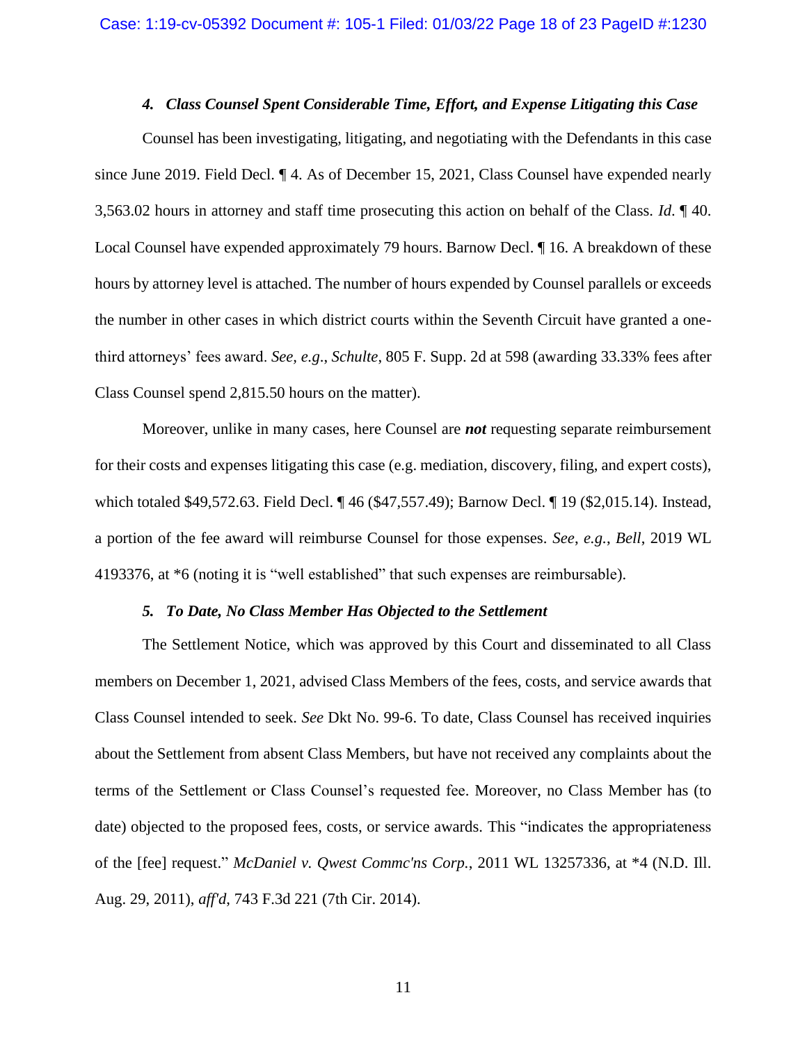# *4. Class Counsel Spent Considerable Time, Effort, and Expense Litigating this Case*

Counsel has been investigating, litigating, and negotiating with the Defendants in this case since June 2019. Field Decl. ¶ 4. As of December 15, 2021, Class Counsel have expended nearly 3,563.02 hours in attorney and staff time prosecuting this action on behalf of the Class. *Id*. ¶ 40. Local Counsel have expended approximately 79 hours. Barnow Decl. ¶ 16. A breakdown of these hours by attorney level is attached. The number of hours expended by Counsel parallels or exceeds the number in other cases in which district courts within the Seventh Circuit have granted a onethird attorneys' fees award. *See, e.g*., *Schulte*, 805 F. Supp. 2d at 598 (awarding 33.33% fees after Class Counsel spend 2,815.50 hours on the matter).

Moreover, unlike in many cases, here Counsel are *not* requesting separate reimbursement for their costs and expenses litigating this case (e.g. mediation, discovery, filing, and expert costs), which totaled \$49,572.63. Field Decl. ¶ 46 (\$47,557.49); Barnow Decl. ¶ 19 (\$2,015.14). Instead, a portion of the fee award will reimburse Counsel for those expenses. *See*, *e.g.*, *Bell*, 2019 WL 4193376, at \*6 (noting it is "well established" that such expenses are reimbursable).

# *5. To Date, No Class Member Has Objected to the Settlement*

The Settlement Notice, which was approved by this Court and disseminated to all Class members on December 1, 2021, advised Class Members of the fees, costs, and service awards that Class Counsel intended to seek. *See* Dkt No. 99-6. To date, Class Counsel has received inquiries about the Settlement from absent Class Members, but have not received any complaints about the terms of the Settlement or Class Counsel's requested fee. Moreover, no Class Member has (to date) objected to the proposed fees, costs, or service awards. This "indicates the appropriateness of the [fee] request." *McDaniel v. Qwest Commc'ns Corp.*, 2011 WL 13257336, at \*4 (N.D. Ill. Aug. 29, 2011), *aff'd*, 743 F.3d 221 (7th Cir. 2014).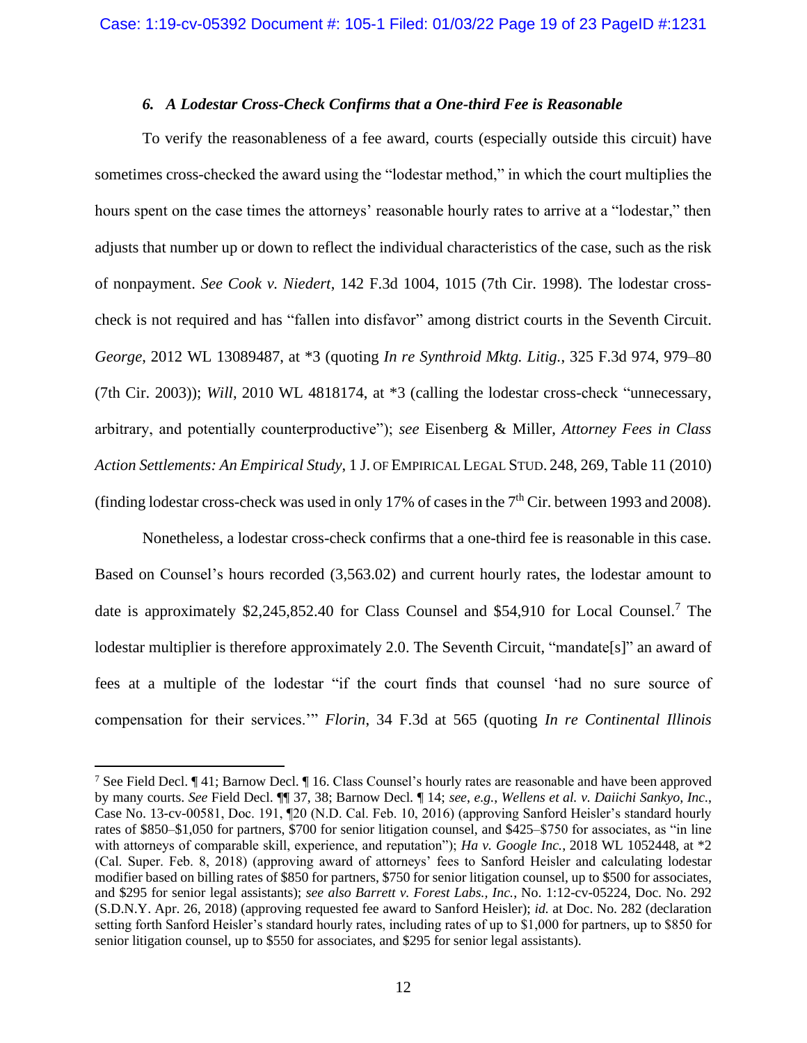# *6. A Lodestar Cross-Check Confirms that a One-third Fee is Reasonable*

To verify the reasonableness of a fee award, courts (especially outside this circuit) have sometimes cross-checked the award using the "lodestar method," in which the court multiplies the hours spent on the case times the attorneys' reasonable hourly rates to arrive at a "lodestar," then adjusts that number up or down to reflect the individual characteristics of the case, such as the risk of nonpayment. *See Cook v. Niedert*, 142 F.3d 1004, 1015 (7th Cir. 1998)*.* The lodestar crosscheck is not required and has "fallen into disfavor" among district courts in the Seventh Circuit. *George*, 2012 WL 13089487, at \*3 (quoting *In re Synthroid Mktg. Litig.*, 325 F.3d 974, 979–80 (7th Cir. 2003)); *Will*, 2010 WL 4818174, at \*3 (calling the lodestar cross-check "unnecessary, arbitrary, and potentially counterproductive"); *see* Eisenberg & Miller, *Attorney Fees in Class Action Settlements: An Empirical Study*, 1 J. OF EMPIRICAL LEGAL STUD. 248, 269, Table 11 (2010) (finding lodestar cross-check was used in only 17% of cases in the  $7<sup>th</sup>$  Cir. between 1993 and 2008).

Nonetheless, a lodestar cross-check confirms that a one-third fee is reasonable in this case. Based on Counsel's hours recorded (3,563.02) and current hourly rates, the lodestar amount to date is approximately \$2,245,852.40 for Class Counsel and \$54,910 for Local Counsel.<sup>7</sup> The lodestar multiplier is therefore approximately 2.0. The Seventh Circuit, "mandate<sup>[s]"</sup> an award of fees at a multiple of the lodestar "if the court finds that counsel 'had no sure source of compensation for their services.'" *Florin*, 34 F.3d at 565 (quoting *In re Continental Illinois* 

<sup>7</sup> See Field Decl. ¶ 41; Barnow Decl. ¶ 16. Class Counsel's hourly rates are reasonable and have been approved by many courts. *See* Field Decl. ¶¶ 37, 38; Barnow Decl. ¶ 14; *see*, *e.g.*, *Wellens et al. v. Daiichi Sankyo, Inc.*, Case No. 13-cv-00581, Doc. 191, ¶20 (N.D. Cal. Feb. 10, 2016) (approving Sanford Heisler's standard hourly rates of \$850–\$1,050 for partners, \$700 for senior litigation counsel, and \$425–\$750 for associates, as "in line with attorneys of comparable skill, experience, and reputation"); *Ha v. Google Inc.*, 2018 WL 1052448, at \*2 (Cal. Super. Feb. 8, 2018) (approving award of attorneys' fees to Sanford Heisler and calculating lodestar modifier based on billing rates of \$850 for partners, \$750 for senior litigation counsel, up to \$500 for associates, and \$295 for senior legal assistants); *see also Barrett v. Forest Labs., Inc.*, No. 1:12-cv-05224, Doc. No. 292 (S.D.N.Y. Apr. 26, 2018) (approving requested fee award to Sanford Heisler); *id.* at Doc. No. 282 (declaration setting forth Sanford Heisler's standard hourly rates, including rates of up to \$1,000 for partners, up to \$850 for senior litigation counsel, up to \$550 for associates, and \$295 for senior legal assistants).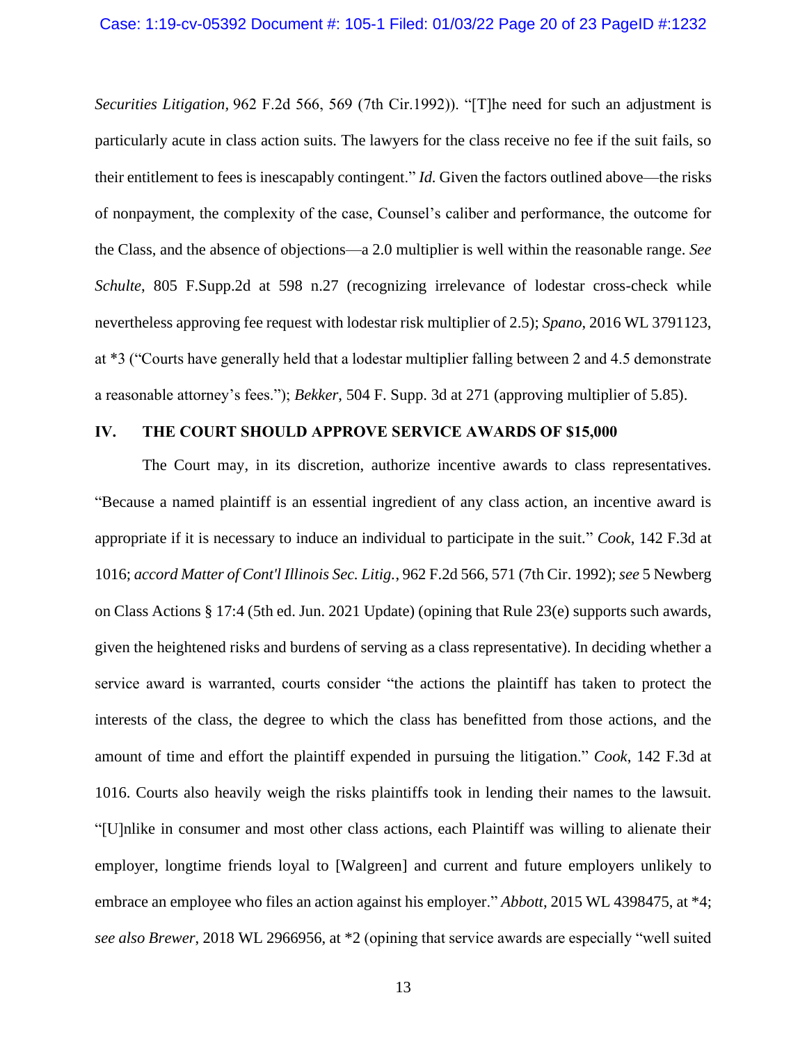*Securities Litigation,* 962 F.2d 566, 569 (7th Cir.1992)). "[T]he need for such an adjustment is particularly acute in class action suits. The lawyers for the class receive no fee if the suit fails, so their entitlement to fees is inescapably contingent." *Id.* Given the factors outlined above—the risks of nonpayment, the complexity of the case, Counsel's caliber and performance, the outcome for the Class, and the absence of objections—a 2.0 multiplier is well within the reasonable range. *See Schulte*, 805 F.Supp.2d at 598 n.27 (recognizing irrelevance of lodestar cross-check while nevertheless approving fee request with lodestar risk multiplier of 2.5); *Spano*, 2016 WL 3791123, at \*3 ("Courts have generally held that a lodestar multiplier falling between 2 and 4.5 demonstrate a reasonable attorney's fees."); *Bekker*, 504 F. Supp. 3d at 271 (approving multiplier of 5.85).

## **IV. THE COURT SHOULD APPROVE SERVICE AWARDS OF \$15,000**

The Court may, in its discretion, authorize incentive awards to class representatives. "Because a named plaintiff is an essential ingredient of any class action, an incentive award is appropriate if it is necessary to induce an individual to participate in the suit." *Cook*, 142 F.3d at 1016; *accord Matter of Cont'l Illinois Sec. Litig.*, 962 F.2d 566, 571 (7th Cir. 1992); *see* 5 Newberg on Class Actions § 17:4 (5th ed. Jun. 2021 Update) (opining that Rule 23(e) supports such awards, given the heightened risks and burdens of serving as a class representative). In deciding whether a service award is warranted, courts consider "the actions the plaintiff has taken to protect the interests of the class, the degree to which the class has benefitted from those actions, and the amount of time and effort the plaintiff expended in pursuing the litigation." *Cook*, 142 F.3d at 1016. Courts also heavily weigh the risks plaintiffs took in lending their names to the lawsuit. "[U]nlike in consumer and most other class actions, each Plaintiff was willing to alienate their employer, longtime friends loyal to [Walgreen] and current and future employers unlikely to embrace an employee who files an action against his employer." *Abbott*, 2015 WL 4398475, at \*4; *see also Brewer*, 2018 WL 2966956, at \*2 (opining that service awards are especially "well suited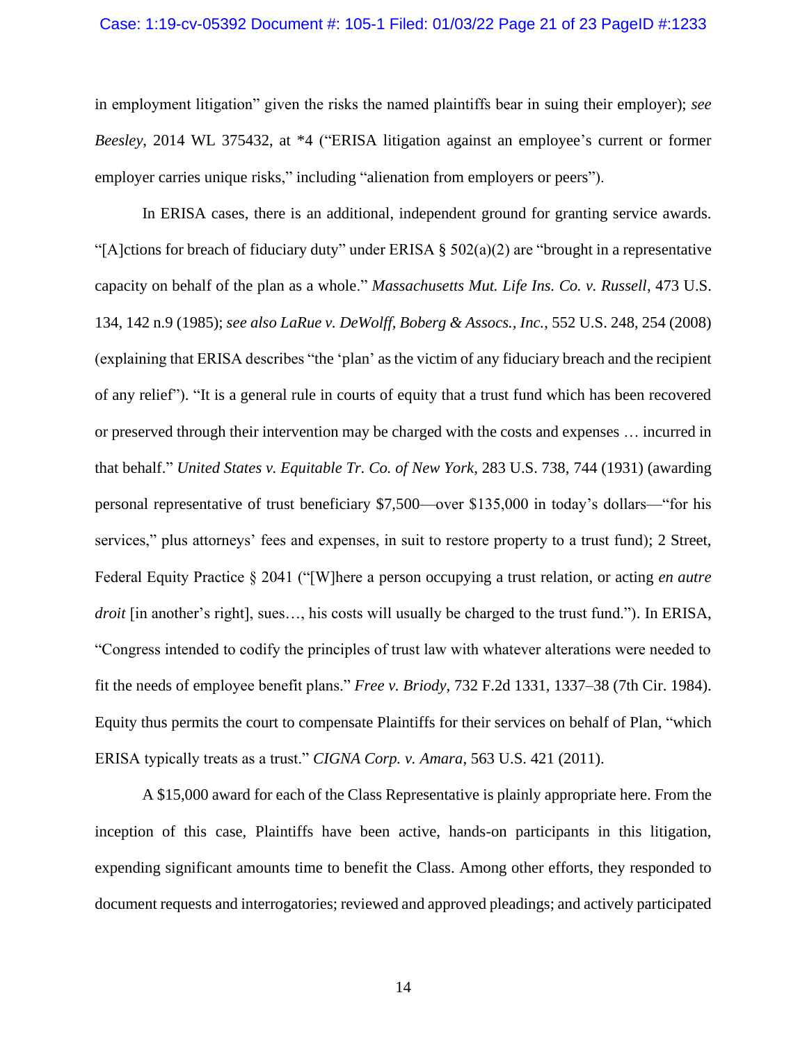#### Case: 1:19-cv-05392 Document #: 105-1 Filed: 01/03/22 Page 21 of 23 PageID #:1233

in employment litigation" given the risks the named plaintiffs bear in suing their employer); *see Beesley*, 2014 WL 375432, at \*4 ("ERISA litigation against an employee's current or former employer carries unique risks," including "alienation from employers or peers").

In ERISA cases, there is an additional, independent ground for granting service awards. "[A]ctions for breach of fiduciary duty" under ERISA § 502(a)(2) are "brought in a representative capacity on behalf of the plan as a whole." *Massachusetts Mut. Life Ins. Co. v. Russell*, 473 U.S. 134, 142 n.9 (1985); *see also LaRue v. DeWolff, Boberg & Assocs., Inc.*, 552 U.S. 248, 254 (2008) (explaining that ERISA describes "the 'plan' as the victim of any fiduciary breach and the recipient of any relief"). "It is a general rule in courts of equity that a trust fund which has been recovered or preserved through their intervention may be charged with the costs and expenses … incurred in that behalf." *United States v. Equitable Tr. Co. of New York*, 283 U.S. 738, 744 (1931) (awarding personal representative of trust beneficiary \$7,500—over \$135,000 in today's dollars—"for his services," plus attorneys' fees and expenses, in suit to restore property to a trust fund); 2 Street, Federal Equity Practice § 2041 ("[W]here a person occupying a trust relation, or acting *en autre droit* [in another's right], sues…, his costs will usually be charged to the trust fund."). In ERISA, "Congress intended to codify the principles of trust law with whatever alterations were needed to fit the needs of employee benefit plans." *Free v. Briody*, 732 F.2d 1331, 1337–38 (7th Cir. 1984). Equity thus permits the court to compensate Plaintiffs for their services on behalf of Plan, "which ERISA typically treats as a trust." *CIGNA Corp. v. Amara*, 563 U.S. 421 (2011).

A \$15,000 award for each of the Class Representative is plainly appropriate here. From the inception of this case, Plaintiffs have been active, hands-on participants in this litigation, expending significant amounts time to benefit the Class. Among other efforts, they responded to document requests and interrogatories; reviewed and approved pleadings; and actively participated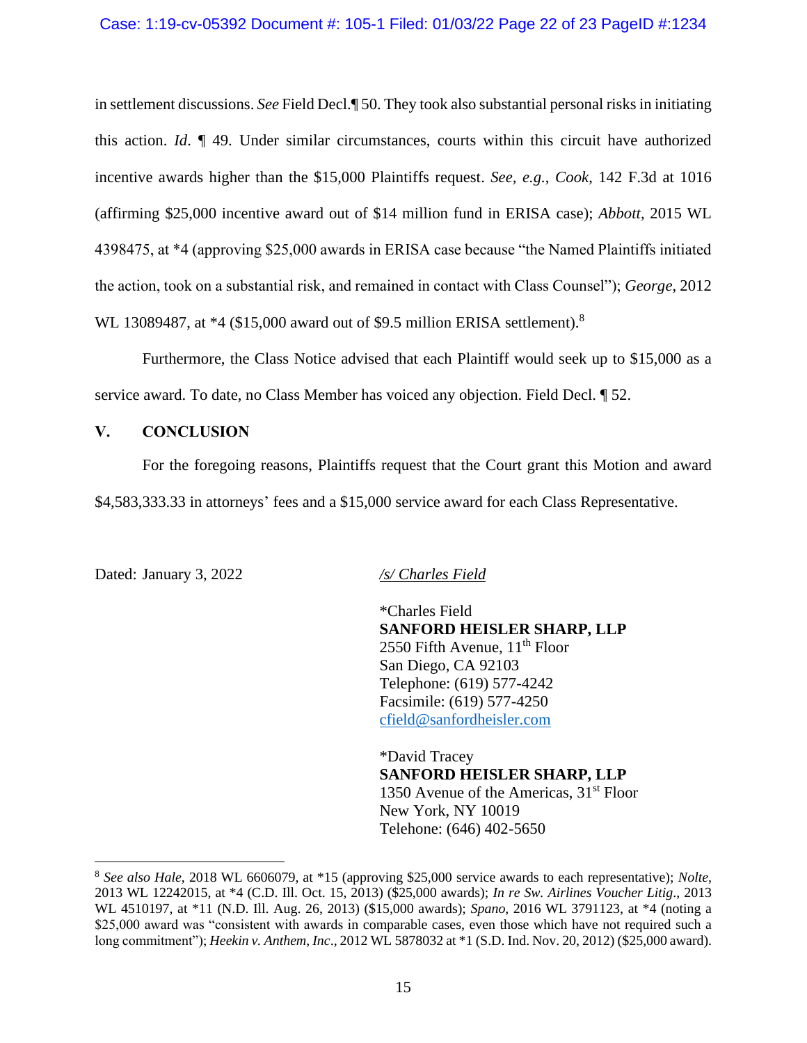in settlement discussions. *See* Field Decl.¶ 50. They took also substantial personal risks in initiating this action. *Id*. ¶ 49. Under similar circumstances, courts within this circuit have authorized incentive awards higher than the \$15,000 Plaintiffs request. *See, e.g.*, *Cook*, 142 F.3d at 1016 (affirming \$25,000 incentive award out of \$14 million fund in ERISA case); *Abbott*, 2015 WL 4398475, at \*4 (approving \$25,000 awards in ERISA case because "the Named Plaintiffs initiated the action, took on a substantial risk, and remained in contact with Class Counsel"); *George*, 2012 WL 13089487, at \*4 (\$15,000 award out of \$9.5 million ERISA settlement).<sup>8</sup>

Furthermore, the Class Notice advised that each Plaintiff would seek up to \$15,000 as a service award. To date, no Class Member has voiced any objection. Field Decl. ¶ 52.

# **V. CONCLUSION**

For the foregoing reasons, Plaintiffs request that the Court grant this Motion and award \$4,583,333.33 in attorneys' fees and a \$15,000 service award for each Class Representative.

Dated: January 3, 2022 */s/ Charles Field*

\*Charles Field **SANFORD HEISLER SHARP, LLP** 2550 Fifth Avenue, 11<sup>th</sup> Floor San Diego, CA 92103 Telephone: (619) 577-4242 Facsimile: (619) 577-4250 cfield@sanfordheisler.com

\*David Tracey **SANFORD HEISLER SHARP, LLP** 1350 Avenue of the Americas,  $31<sup>st</sup>$  Floor New York, NY 10019 Telehone: (646) 402-5650

<sup>8</sup> *See also Hale*, 2018 WL 6606079, at \*15 (approving \$25,000 service awards to each representative); *Nolte*, 2013 WL 12242015, at \*4 (C.D. Ill. Oct. 15, 2013) (\$25,000 awards); *In re Sw. Airlines Voucher Litig*., 2013 WL 4510197, at \*11 (N.D. Ill. Aug. 26, 2013) (\$15,000 awards); *Spano*, 2016 WL 3791123, at \*4 (noting a \$25,000 award was "consistent with awards in comparable cases, even those which have not required such a long commitment"); *Heekin v. Anthem, Inc*., 2012 WL 5878032 at \*1 (S.D. Ind. Nov. 20, 2012) (\$25,000 award).